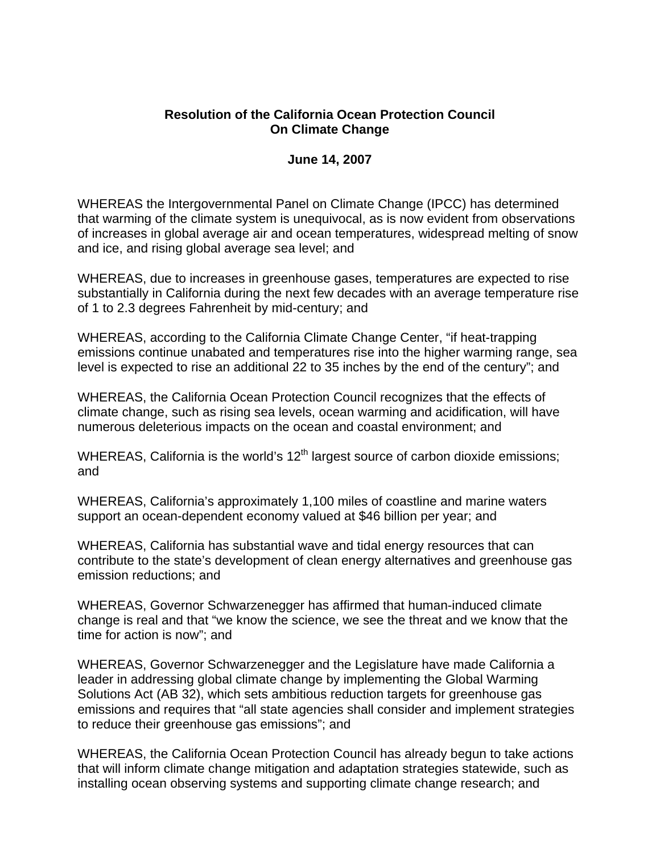## **Resolution of the California Ocean Protection Council On Climate Change**

## **June 14, 2007**

WHEREAS the Intergovernmental Panel on Climate Change (IPCC) has determined that warming of the climate system is unequivocal, as is now evident from observations of increases in global average air and ocean temperatures, widespread melting of snow and ice, and rising global average sea level; and

WHEREAS, due to increases in greenhouse gases, temperatures are expected to rise substantially in California during the next few decades with an average temperature rise of 1 to 2.3 degrees Fahrenheit by mid-century; and

WHEREAS, according to the California Climate Change Center, "if heat-trapping emissions continue unabated and temperatures rise into the higher warming range, sea level is expected to rise an additional 22 to 35 inches by the end of the century"; and

WHEREAS, the California Ocean Protection Council recognizes that the effects of climate change, such as rising sea levels, ocean warming and acidification, will have numerous deleterious impacts on the ocean and coastal environment; and

WHEREAS, California is the world's  $12<sup>th</sup>$  largest source of carbon dioxide emissions; and

WHEREAS, California's approximately 1,100 miles of coastline and marine waters support an ocean-dependent economy valued at \$46 billion per year; and

WHEREAS, California has substantial wave and tidal energy resources that can contribute to the state's development of clean energy alternatives and greenhouse gas emission reductions; and

WHEREAS, Governor Schwarzenegger has affirmed that human-induced climate change is real and that "we know the science, we see the threat and we know that the time for action is now"; and

WHEREAS, Governor Schwarzenegger and the Legislature have made California a leader in addressing global climate change by implementing the Global Warming Solutions Act (AB 32), which sets ambitious reduction targets for greenhouse gas emissions and requires that "all state agencies shall consider and implement strategies to reduce their greenhouse gas emissions"; and

WHEREAS, the California Ocean Protection Council has already begun to take actions that will inform climate change mitigation and adaptation strategies statewide, such as installing ocean observing systems and supporting climate change research; and